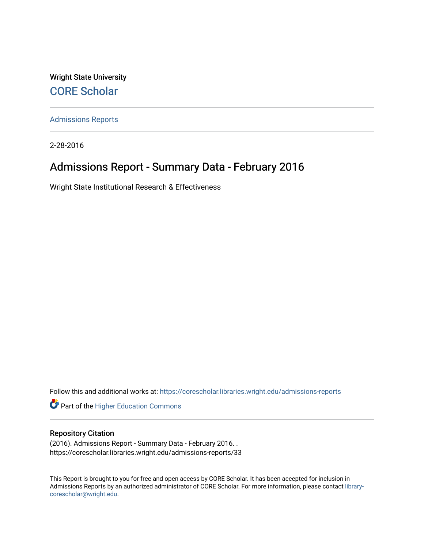Wright State University [CORE Scholar](https://corescholar.libraries.wright.edu/)

[Admissions Reports](https://corescholar.libraries.wright.edu/admissions-reports) 

2-28-2016

# Admissions Report - Summary Data - February 2016

Wright State Institutional Research & Effectiveness

Follow this and additional works at: [https://corescholar.libraries.wright.edu/admissions-reports](https://corescholar.libraries.wright.edu/admissions-reports?utm_source=corescholar.libraries.wright.edu%2Fadmissions-reports%2F33&utm_medium=PDF&utm_campaign=PDFCoverPages) 

**Part of the Higher Education Commons** 

### Repository Citation

(2016). Admissions Report - Summary Data - February 2016. . https://corescholar.libraries.wright.edu/admissions-reports/33

This Report is brought to you for free and open access by CORE Scholar. It has been accepted for inclusion in Admissions Reports by an authorized administrator of CORE Scholar. For more information, please contact [library](mailto:library-corescholar@wright.edu)[corescholar@wright.edu](mailto:library-corescholar@wright.edu).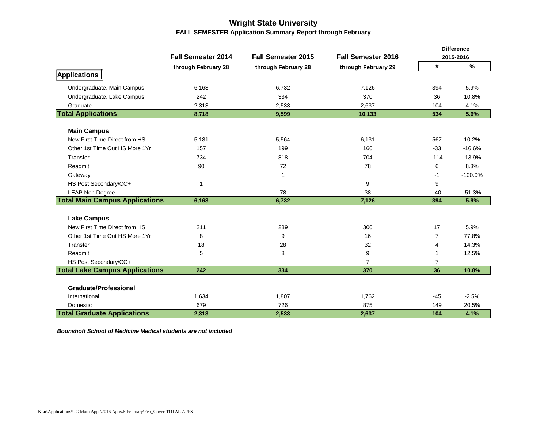### **Wright State University FALL SEMESTER Application Summary Report through February**

|                                       |                           |                           |                           |                | <b>Difference</b> |
|---------------------------------------|---------------------------|---------------------------|---------------------------|----------------|-------------------|
|                                       | <b>Fall Semester 2014</b> | <b>Fall Semester 2015</b> | <b>Fall Semester 2016</b> |                | 2015-2016         |
|                                       | through February 28       | through February 28       | through February 29       | #              | $\frac{9}{2}$     |
| Applications                          |                           |                           |                           |                |                   |
| Undergraduate, Main Campus            | 6,163                     | 6,732                     | 7.126                     | 394            | 5.9%              |
| Undergraduate, Lake Campus            | 242                       | 334                       | 370                       | 36             | 10.8%             |
| Graduate                              | 2,313                     | 2,533                     | 2,637                     | 104            | 4.1%              |
| <b>Total Applications</b>             | 8,718                     | 9,599                     | 10,133                    | 534            | 5.6%              |
|                                       |                           |                           |                           |                |                   |
| <b>Main Campus</b>                    |                           |                           |                           |                |                   |
| New First Time Direct from HS         | 5,181                     | 5,564                     | 6,131                     | 567            | 10.2%             |
| Other 1st Time Out HS More 1Yr        | 157                       | 199                       | 166                       | $-33$          | $-16.6%$          |
| Transfer                              | 734                       | 818                       | 704                       | $-114$         | $-13.9%$          |
| Readmit                               | 90                        | 72                        | 78                        | 6              | 8.3%              |
| Gateway                               |                           | 1                         |                           | $-1$           | $-100.0%$         |
| HS Post Secondary/CC+                 | $\mathbf{1}$              |                           | 9                         | 9              |                   |
| <b>LEAP Non Degree</b>                |                           | 78                        | 38                        | $-40$          | $-51.3%$          |
| <b>Total Main Campus Applications</b> | 6,163                     | 6,732                     | 7,126                     | 394            | 5.9%              |
| <b>Lake Campus</b>                    |                           |                           |                           |                |                   |
| New First Time Direct from HS         | 211                       | 289                       | 306                       | 17             | 5.9%              |
| Other 1st Time Out HS More 1Yr        | 8                         |                           | 16                        | $\overline{7}$ | 77.8%             |
|                                       |                           | 9                         |                           |                |                   |
| Transfer                              | 18                        | 28                        | 32                        | 4              | 14.3%             |
| Readmit                               | 5                         | 8                         | 9                         |                | 12.5%             |
| HS Post Secondary/CC+                 |                           |                           | $\overline{7}$            | 7              |                   |
| <b>Total Lake Campus Applications</b> | 242                       | 334                       | 370                       | 36             | 10.8%             |
| <b>Graduate/Professional</b>          |                           |                           |                           |                |                   |
| International                         | 1,634                     | 1,807                     | 1,762                     | $-45$          | $-2.5%$           |
| Domestic                              | 679                       | 726                       | 875                       | 149            | 20.5%             |
| <b>Total Graduate Applications</b>    | 2,313                     | 2,533                     | 2,637                     | 104            | 4.1%              |

*Boonshoft School of Medicine Medical students are not included*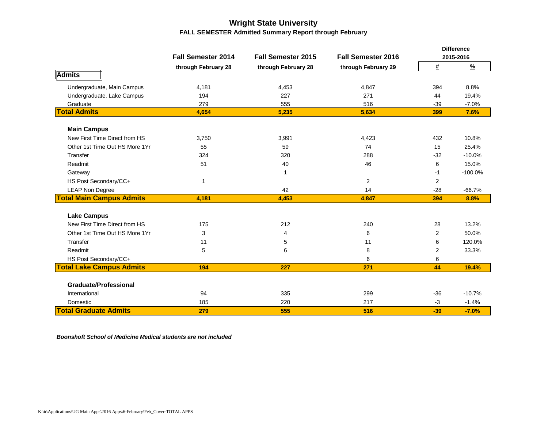### **Wright State University FALL SEMESTER Admitted Summary Report through February**

|                                 |                           |                           |                           |                | <b>Difference</b> |
|---------------------------------|---------------------------|---------------------------|---------------------------|----------------|-------------------|
|                                 | <b>Fall Semester 2014</b> | <b>Fall Semester 2015</b> | <b>Fall Semester 2016</b> |                | 2015-2016         |
|                                 | through February 28       | through February 28       | through February 29       | #              | $\frac{9}{6}$     |
| Admits                          |                           |                           |                           |                |                   |
| Undergraduate, Main Campus      | 4,181                     | 4,453                     | 4,847                     | 394            | 8.8%              |
| Undergraduate, Lake Campus      | 194                       | 227                       | 271                       | 44             | 19.4%             |
| Graduate                        | 279                       | 555                       | 516                       | $-39$          | $-7.0%$           |
| <b>Total Admits</b>             | 4,654                     | 5,235                     | 5,634                     | 399            | 7.6%              |
| <b>Main Campus</b>              |                           |                           |                           |                |                   |
| New First Time Direct from HS   | 3,750                     | 3,991                     | 4,423                     | 432            | 10.8%             |
| Other 1st Time Out HS More 1Yr  | 55                        | 59                        | 74                        | 15             | 25.4%             |
| Transfer                        | 324                       | 320                       | 288                       | $-32$          | $-10.0%$          |
| Readmit                         | 51                        | 40                        | 46                        | 6              | 15.0%             |
| Gateway                         |                           | -1                        |                           | -1             | $-100.0%$         |
| HS Post Secondary/CC+           | 1                         |                           | $\overline{2}$            | 2              |                   |
| <b>LEAP Non Degree</b>          |                           | 42                        | 14                        | $-28$          | $-66.7%$          |
| <b>Total Main Campus Admits</b> | 4,181                     | 4,453                     | 4,847                     | 394            | 8.8%              |
| <b>Lake Campus</b>              |                           |                           |                           |                |                   |
| New First Time Direct from HS   | 175                       | 212                       | 240                       | 28             | 13.2%             |
| Other 1st Time Out HS More 1Yr  | 3                         | 4                         | 6                         | $\overline{2}$ | 50.0%             |
| Transfer                        | 11                        | 5                         | 11                        | 6              | 120.0%            |
| Readmit                         | 5                         | 6                         | 8                         | 2              | 33.3%             |
| HS Post Secondary/CC+           |                           |                           | 6                         | 6              |                   |
| <b>Total Lake Campus Admits</b> | 194                       | 227                       | 271                       | 44             | 19.4%             |
|                                 |                           |                           |                           |                |                   |
| <b>Graduate/Professional</b>    |                           |                           |                           |                |                   |
| International                   | 94                        | 335                       | 299                       | $-36$          | $-10.7%$          |
| Domestic                        | 185                       | 220                       | 217                       | $-3$           | $-1.4%$           |
| <b>Total Graduate Admits</b>    | 279                       | 555                       | 516                       | $-39$          | $-7.0%$           |

*Boonshoft School of Medicine Medical students are not included*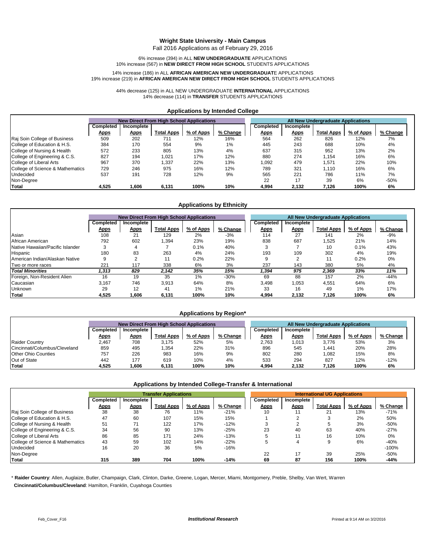#### **Wright State University - Main Campus**

Fall 2016 Applications as of February 29, 2016

6% increase (394) in ALL **NEW UNDERGRADUATE** APPLICATIONS 10% increase (567) in **NEW DIRECT FROM HIGH SCHOOL** STUDENTS APPLICATIONS

#### 14% increase (186) in ALL **AFRICAN AMERICAN NEW UNDERGRADUAT**E APPLICATIONS 19% increase (219) in **AFRICAN AMERICAN NEW DIRECT FROM HIGH SCHOOL** STUDENTS APPLICATIONS

44% decrease (125) in ALL NEW UNDERGRADUATE **INTERNATIONAL** APPLICATIONS 14% decrease (114) in **TRANSFER** STUDENTS APPLICATIONS

#### **Applications by Intended College**

|                                  |             | <b>New Direct From High School Applications</b> |                   |           |          | <b>All New Undergraduate Applications</b> |             |                   |           |          |
|----------------------------------|-------------|-------------------------------------------------|-------------------|-----------|----------|-------------------------------------------|-------------|-------------------|-----------|----------|
|                                  | Completed   | Incomplete                                      |                   |           |          | Completed                                 | Incomplete  |                   |           |          |
|                                  | <u>Apps</u> | <u>Apps</u>                                     | <b>Total Apps</b> | % of Apps | % Change | <b>Apps</b>                               | <b>Apps</b> | <b>Total Apps</b> | % of Apps | % Change |
| Raj Soin College of Business     | 509         | 202                                             | 711               | 12%       | 16%      | 564                                       | 262         | 826               | 12%       | 7%       |
| College of Education & H.S.      | 384         | 170                                             | 554               | 9%        | $1\%$    | 445                                       | 243         | 688               | 10%       | 4%       |
| College of Nursing & Health      | 572         | 233                                             | 805               | 13%       | 4%       | 637                                       | 315         | 952               | 13%       | 2%       |
| College of Engineering & C.S.    | 827         | 194                                             | .021              | 17%       | 12%      | 880                                       | 274         | 1,154             | 16%       | 6%       |
| College of Liberal Arts          | 967         | 370                                             | .337              | 22%       | 13%      | 1,092                                     | 479         | .571              | 22%       | 10%      |
| College of Science & Mathematics | 729         | 246                                             | 975               | 16%       | 12%      | 789                                       | 321         | 1.110             | 16%       | 6%       |
| Undecided                        | 537         | 191                                             | 728               | 12%       | 9%       | 565                                       | 221         | 786               | 11%       | 7%       |
| Non-Degree                       |             |                                                 |                   |           |          | 22                                        | 17          | 39                | 6%        | $-50%$   |
| <b>Total</b>                     | 4.525       | .606                                            | 6.131             | 100%      | 10%      | 4.994                                     | 2,132       | 7.126             | 100%      | 6%       |

#### **Applications by Ethnicity**

|                                  |             | <b>New Direct From High School Applications</b> |            |                  |          |                  | All New Undergraduate Applications |                   |                  |          |  |
|----------------------------------|-------------|-------------------------------------------------|------------|------------------|----------|------------------|------------------------------------|-------------------|------------------|----------|--|
|                                  | Completed   | Incomplete                                      |            |                  |          | <b>Completed</b> | Incomplete                         |                   |                  |          |  |
|                                  | <u>Apps</u> | <u>Apps</u>                                     | Total Apps | <u>% of Apps</u> | % Change | <u>Apps</u>      | <b>Apps</b>                        | <b>Total Apps</b> | <u>% of Apps</u> | % Change |  |
| Asian                            | 108         | 21                                              | 129        | 2%               | $-3%$    | 114              | 27                                 | 141               | 2%               | $-9%$    |  |
| African American                 | 792         | 602                                             | 1.394      | 23%              | 19%      | 838              | 687                                | .525              | 21%              | 14%      |  |
| Native Hawaiian/Pacific Islander |             |                                                 |            | 0.1%             | 40%      |                  |                                    | 10                | 0.1%             | 43%      |  |
| Hispanic                         | 180         | 83                                              | 263        | 4%               | 24%      | 193              | 109                                | 302               | 4%               | 19%      |  |
| American Indian/Alaskan Native   |             |                                                 | 11         | 0.2%             | 22%      | g                |                                    | 11                | 0.2%             | 0%       |  |
| Two or more races                | 221         | 117                                             | 338        | 6%               | 3%       | 237              | 143                                | 380               | 5%               | 4%       |  |
| <b>Total Minorities</b>          | 1.313       | 829                                             | 2,142      | 35%              | 15%      | 1.394            | 975                                | 2,369             | 33%              | 11%      |  |
| Foreign, Non-Resident Alien      | 16          | 19                                              | 35         | 1%               | $-30%$   | 69               | 88                                 | 157               | 2%               | $-44%$   |  |
| Caucasian                        | 3.167       | 746                                             | 3.913      | 64%              | 8%       | 3.498            | 1.053                              | 4,551             | 64%              | 6%       |  |
| <b>Unknown</b>                   | 29          | 12                                              | 41         | 1%               | 21%      | 33               | 16                                 | 49                | $1\%$            | 17%      |  |
| Total                            | 4.525       | .606                                            | 6,131      | 100%             | 10%      | 4.994            | 2,132                              | 7.126             | 100%             | 6%       |  |

#### **Applications by Region\***

|                               |             | <b>New Direct From High School Applications</b> |                   |           |          |             | <b>All New Undergraduate Applications</b> |                   |           |          |
|-------------------------------|-------------|-------------------------------------------------|-------------------|-----------|----------|-------------|-------------------------------------------|-------------------|-----------|----------|
|                               | Completed   | Incomplete                                      |                   |           |          | Completed   | Incomplete                                |                   |           |          |
|                               | <u>Apps</u> | <u>Apps</u>                                     | <b>Total Apps</b> | % of Apps | % Change | <u>Apps</u> | <u>Apps</u>                               | <b>Total Apps</b> | % of Apps | % Change |
| <b>Raider Country</b>         | 2.467       | 708                                             | 3.175             | 52%       | 5%       | 2,763       | 1,013                                     | 3.776             | 53%       | 3%       |
| Cincinnati/Columbus/Cleveland | 859         | 495                                             | .354              | 22%       | 31%      | 896         | 545                                       | .441              | 20%       | 28%      |
| Other Ohio Counties           | 757         | 226                                             | 983               | 16%       | 9%       | 802         | 280                                       | 082               | 15%       | 8%       |
| Out of State                  | 442         | 177                                             | 619               | 10%       | 4%       | 533         | 294                                       | 827               | 12%       | $-12%$   |
| Total                         | 4.525       | .606                                            | 6.131             | 100%      | 10%      | 4.994       | 2.132                                     | 7.126             | 100%      | 6%       |

#### **Applications by Intended College-Transfer & International**

|                                  |             | <b>Transfer Applications</b> |                   |           |          | <b>International UG Applications</b> |             |                   |           |          |
|----------------------------------|-------------|------------------------------|-------------------|-----------|----------|--------------------------------------|-------------|-------------------|-----------|----------|
|                                  | Completed   | Incomplete                   |                   |           |          | Completed                            | Incomplete  |                   |           |          |
|                                  | <u>Apps</u> | <u>Apps</u>                  | <b>Total Apps</b> | % of Apps | % Change | <u>Apps</u>                          | <u>Apps</u> | <b>Total Apps</b> | % of Apps | % Change |
| Raj Soin College of Business     | 38          | 38                           | 76                | 11%       | $-21%$   | 10                                   |             | 21                | 13%       | $-71%$   |
| College of Education & H.S.      | 47          | 60                           | 107               | 15%       | 15%      |                                      |             |                   | 2%        | 50%      |
| College of Nursing & Health      | 51          | 71                           | 122               | 17%       | $-12%$   |                                      |             |                   | 3%        | $-50%$   |
| College of Engineering & C.S.    | 34          | 56                           | 90                | 13%       | $-25%$   | 23                                   | 40          | 63                | 40%       | $-27%$   |
| College of Liberal Arts          | 86          | 85                           | 171               | 24%       | $-13%$   |                                      |             | 16                | 10%       | 0%       |
| College of Science & Mathematics | 43          | 59                           | 102               | 14%       | $-22%$   |                                      | 4           |                   | 6%        | $-40%$   |
| <b>Undecided</b>                 | 16          | 20                           | 36                | 5%        | $-16%$   |                                      |             |                   |           | $-100%$  |
| Non-Degree                       |             |                              |                   |           |          | 22                                   | 17          | 39                | 25%       | $-50%$   |
| <b>Total</b>                     | 315         | 389                          | 704               | 100%      | $-14%$   | 69                                   | 87          | 156               | 100%      | $-44%$   |

\* **Raider Country**: Allen, Auglaize, Butler, Champaign, Clark, Clinton, Darke, Greene, Logan, Mercer, Miami, Montgomery, Preble, Shelby, Van Wert, Warren  **Cincinnati/Columbus/Cleveland**: Hamilton, Franklin, Cuyahoga Counties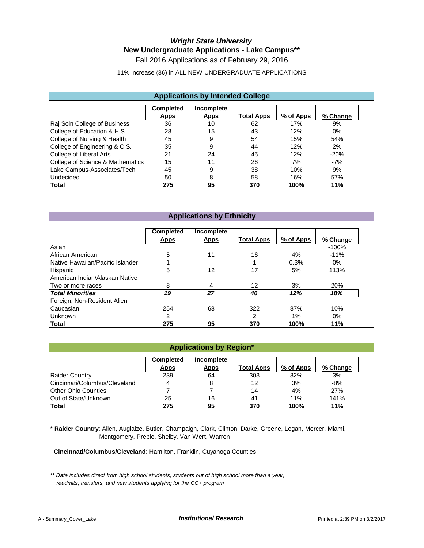## *Wright State University* **New Undergraduate Applications - Lake Campus\*\***

Fall 2016 Applications as of February 29, 2016

11% increase (36) in ALL NEW UNDERGRADUATE APPLICATIONS

|                                                                                                            |     | <b>Applications by Intended College</b> |     |      |        |  |  |  |  |  |
|------------------------------------------------------------------------------------------------------------|-----|-----------------------------------------|-----|------|--------|--|--|--|--|--|
| <b>Completed</b><br>Incomplete<br><b>Total Apps</b><br>% of Apps<br><b>Apps</b><br><b>Apps</b><br>% Change |     |                                         |     |      |        |  |  |  |  |  |
| Raj Soin College of Business                                                                               | 36  | 10                                      | 62  | 17%  | 9%     |  |  |  |  |  |
| College of Education & H.S.                                                                                | 28  | 15                                      | 43  | 12%  | $0\%$  |  |  |  |  |  |
| College of Nursing & Health                                                                                | 45  | 9                                       | 54  | 15%  | 54%    |  |  |  |  |  |
| College of Engineering & C.S.                                                                              | 35  | 9                                       | 44  | 12%  | 2%     |  |  |  |  |  |
| College of Liberal Arts                                                                                    | 21  | 24                                      | 45  | 12%  | $-20%$ |  |  |  |  |  |
| College of Science & Mathematics                                                                           | 15  | 11                                      | 26  | 7%   | $-7%$  |  |  |  |  |  |
| Lake Campus-Associates/Tech                                                                                | 45  | 9                                       | 38  | 10%  | 9%     |  |  |  |  |  |
| <b>Undecided</b>                                                                                           | 50  | 8                                       | 58  | 16%  | 57%    |  |  |  |  |  |
| <b>Total</b>                                                                                               | 275 | 95                                      | 370 | 100% | 11%    |  |  |  |  |  |

|                                  | <b>Applications by Ethnicity</b> |                           |                   |           |          |  |  |  |  |  |  |
|----------------------------------|----------------------------------|---------------------------|-------------------|-----------|----------|--|--|--|--|--|--|
|                                  | <b>Completed</b><br><b>Apps</b>  | Incomplete<br><b>Apps</b> | <b>Total Apps</b> | % of Apps | % Change |  |  |  |  |  |  |
| Asian                            |                                  |                           |                   |           | $-100%$  |  |  |  |  |  |  |
| African American                 | 5                                | 11                        | 16                | 4%        | $-11%$   |  |  |  |  |  |  |
| Native Hawaiian/Pacific Islander |                                  |                           | 1                 | 0.3%      | 0%       |  |  |  |  |  |  |
| Hispanic                         | 5                                | 12                        | 17                | 5%        | 113%     |  |  |  |  |  |  |
| American Indian/Alaskan Native   |                                  |                           |                   |           |          |  |  |  |  |  |  |
| Two or more races                | 8                                | 4                         | 12                | 3%        | 20%      |  |  |  |  |  |  |
| <b>Total Minorities</b>          | 19                               | 27                        | 46                | 12%       | 18%      |  |  |  |  |  |  |
| Foreign, Non-Resident Alien      |                                  |                           |                   |           |          |  |  |  |  |  |  |
| Caucasian                        | 254                              | 68                        | 322               | 87%       | 10%      |  |  |  |  |  |  |
| <b>Unknown</b>                   | 2                                |                           | 2                 | 1%        | 0%       |  |  |  |  |  |  |
| Total                            | 275                              | 95                        | 370               | 100%      | 11%      |  |  |  |  |  |  |

|                               | <b>Applications by Region*</b>                                                                             |    |     |      |       |  |  |  |  |  |  |  |
|-------------------------------|------------------------------------------------------------------------------------------------------------|----|-----|------|-------|--|--|--|--|--|--|--|
|                               | <b>Completed</b><br>Incomplete<br>% of Apps<br><b>Total Apps</b><br>% Change<br><b>Apps</b><br><b>Apps</b> |    |     |      |       |  |  |  |  |  |  |  |
| <b>Raider Country</b>         | 239                                                                                                        | 64 | 303 | 82%  | 3%    |  |  |  |  |  |  |  |
| Cincinnati/Columbus/Cleveland | 4                                                                                                          | 8  | 12  | 3%   | $-8%$ |  |  |  |  |  |  |  |
| <b>Other Ohio Counties</b>    |                                                                                                            |    | 14  | 4%   | 27%   |  |  |  |  |  |  |  |
| <b>Out of State/Unknown</b>   | 141%<br>11%<br>25<br>16<br>41                                                                              |    |     |      |       |  |  |  |  |  |  |  |
| <b>Total</b>                  | 275                                                                                                        | 95 | 370 | 100% | 11%   |  |  |  |  |  |  |  |

\* **Raider Country**: Allen, Auglaize, Butler, Champaign, Clark, Clinton, Darke, Greene, Logan, Mercer, Miami, Montgomery, Preble, Shelby, Van Wert, Warren

 **Cincinnati/Columbus/Cleveland**: Hamilton, Franklin, Cuyahoga Counties

*\*\* Data includes direct from high school students, students out of high school more than a year, readmits, transfers, and new students applying for the CC+ program*